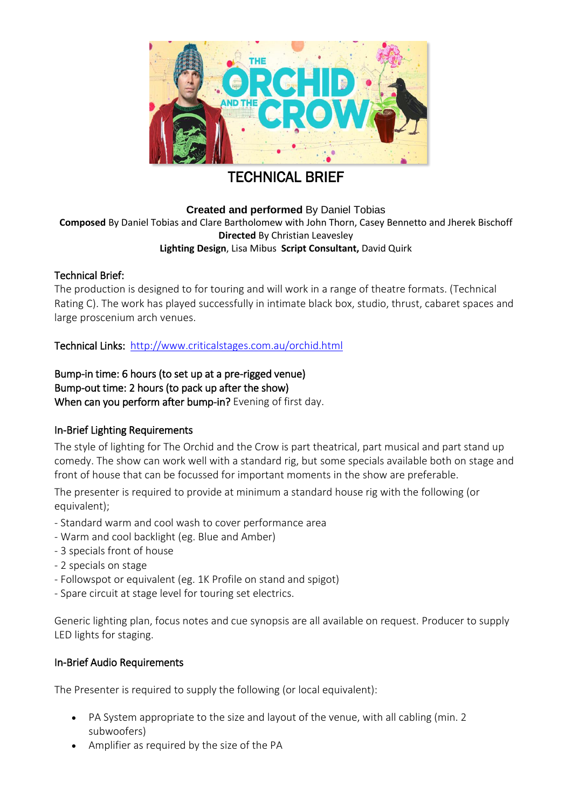

# TECHNICAL BRIEF

**Created and performed** By Daniel Tobias **Composed** By Daniel Tobias and Clare Bartholomew with John Thorn, Casey Bennetto and Jherek Bischoff **Directed** By Christian Leavesley **Lighting Design**, Lisa Mibus **Script Consultant,** David Quirk

# Technical Brief:

The production is designed to for touring and will work in a range of theatre formats. (Technical Rating C). The work has played successfully in intimate black box, studio, thrust, cabaret spaces and large proscenium arch venues.

Technical Links: http://www.criticalstages.com.au/orchid.html

Bump-in time: 6 hours (to set up at a pre-rigged venue) Bump-out time: 2 hours (to pack up after the show) When can you perform after bump-in? Evening of first day.

# In-Brief Lighting Requirements

The style of lighting for The Orchid and the Crow is part theatrical, part musical and part stand up comedy. The show can work well with a standard rig, but some specials available both on stage and front of house that can be focussed for important moments in the show are preferable.

The presenter is required to provide at minimum a standard house rig with the following (or equivalent);

- Standard warm and cool wash to cover performance area
- Warm and cool backlight (eg. Blue and Amber)
- 3 specials front of house
- 2 specials on stage
- Followspot or equivalent (eg. 1K Profile on stand and spigot)
- Spare circuit at stage level for touring set electrics.

Generic lighting plan, focus notes and cue synopsis are all available on request. Producer to supply LED lights for staging.

## In-Brief Audio Requirements

The Presenter is required to supply the following (or local equivalent):

- PA System appropriate to the size and layout of the venue, with all cabling (min. 2 subwoofers)
- Amplifier as required by the size of the PA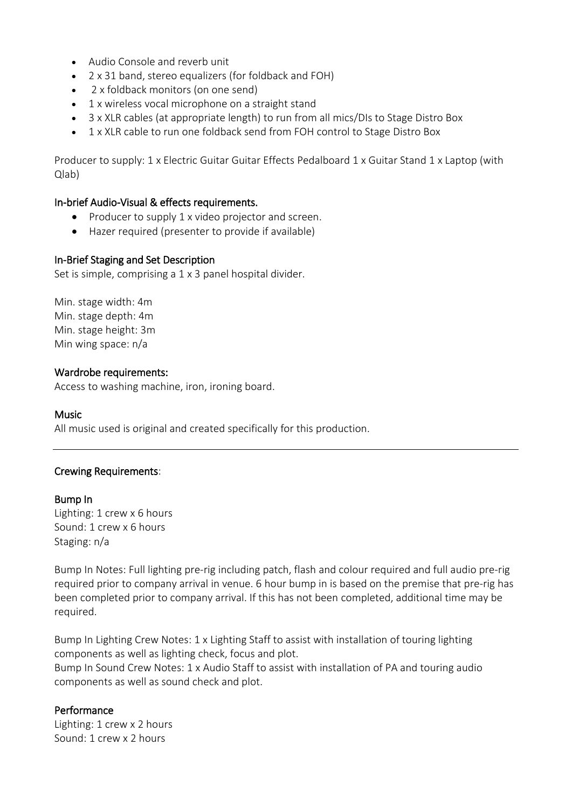- Audio Console and reverb unit
- 2 x 31 band, stereo equalizers (for foldback and FOH)
- 2 x foldback monitors (on one send)
- 1 x wireless vocal microphone on a straight stand
- 3 x XLR cables (at appropriate length) to run from all mics/DIs to Stage Distro Box
- 1 x XLR cable to run one foldback send from FOH control to Stage Distro Box

Producer to supply: 1 x Electric Guitar Guitar Effects Pedalboard 1 x Guitar Stand 1 x Laptop (with Qlab)

#### In-brief Audio-Visual & effects requirements.

- Producer to supply 1 x video projector and screen.
- Hazer required (presenter to provide if available)

#### In-Brief Staging and Set Description

Set is simple, comprising a 1 x 3 panel hospital divider.

Min. stage width: 4m Min. stage depth: 4m Min. stage height: 3m Min wing space: n/a

#### Wardrobe requirements:

Access to washing machine, iron, ironing board.

#### Music

All music used is original and created specifically for this production.

#### Crewing Requirements:

#### Bump In

Lighting: 1 crew x 6 hours Sound: 1 crew x 6 hours Staging: n/a

Bump In Notes: Full lighting pre-rig including patch, flash and colour required and full audio pre-rig required prior to company arrival in venue. 6 hour bump in is based on the premise that pre-rig has been completed prior to company arrival. If this has not been completed, additional time may be required.

Bump In Lighting Crew Notes: 1 x Lighting Staff to assist with installation of touring lighting components as well as lighting check, focus and plot. Bump In Sound Crew Notes: 1 x Audio Staff to assist with installation of PA and touring audio components as well as sound check and plot.

#### Performance

Lighting: 1 crew x 2 hours Sound: 1 crew x 2 hours